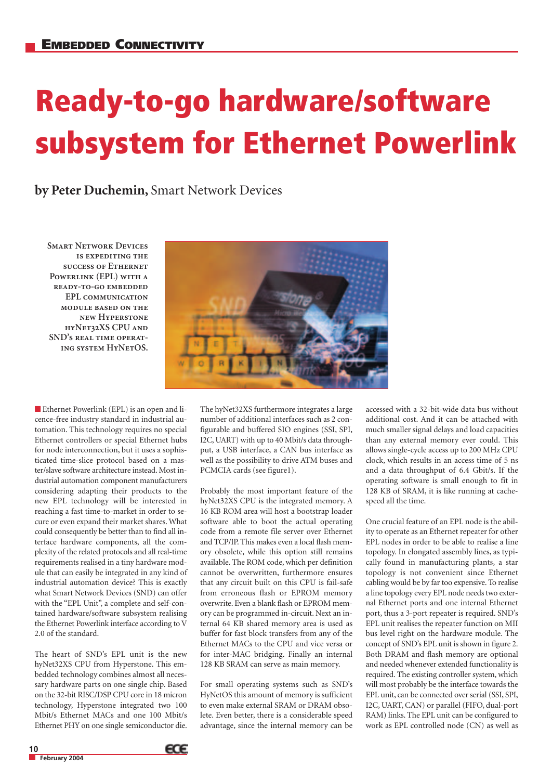## **Ready-to-go hardware/software subsystem for Ethernet Powerlink**

**by Peter Duchemin,** Smart Network Devices

**Smart Network Devices is expediting the success of Ethernet Powerlink (EPL) with a ready-to-go embedded EPL communication module based on the new Hyperstone hyNet32XS CPU and SND's real time operating system HyNetOS.**



■ Ethernet Powerlink (EPL) is an open and licence-free industry standard in industrial automation. This technology requires no special Ethernet controllers or special Ethernet hubs for node interconnection, but it uses a sophisticated time-slice protocol based on a master/slave software architecture instead. Most industrial automation component manufacturers considering adapting their products to the new EPL technology will be interested in reaching a fast time-to-market in order to secure or even expand their market shares. What could consequently be better than to find all interface hardware components, all the complexity of the related protocols and all real-time requirements realised in a tiny hardware module that can easily be integrated in any kind of industrial automation device? This is exactly what Smart Network Devices (SND) can offer with the "EPL Unit", a complete and self-contained hardware/software subsystem realising the Ethernet Powerlink interface according to V 2.0 of the standard.

The heart of SND's EPL unit is the new hyNet32XS CPU from Hyperstone. This embedded technology combines almost all necessary hardware parts on one single chip. Based on the 32-bit RISC/DSP CPU core in 18 micron technology, Hyperstone integrated two 100 Mbit/s Ethernet MACs and one 100 Mbit/s Ethernet PHY on one single semiconductor die.

The hyNet32XS furthermore integrates a large number of additional interfaces such as 2 configurable and buffered SIO engines (SSI, SPI, I2C, UART) with up to 40 Mbit/s data throughput, a USB interface, a CAN bus interface as well as the possibility to drive ATM buses and PCMCIA cards (see figure1).

Probably the most important feature of the hyNet32XS CPU is the integrated memory. A 16 KB ROM area will host a bootstrap loader software able to boot the actual operating code from a remote file server over Ethernet and TCP/IP. This makes even a local flash memory obsolete, while this option still remains available. The ROM code, which per definition cannot be overwritten, furthermore ensures that any circuit built on this CPU is fail-safe from erroneous flash or EPROM memory overwrite. Even a blank flash or EPROM memory can be programmed in-circuit. Next an internal 64 KB shared memory area is used as buffer for fast block transfers from any of the Ethernet MACs to the CPU and vice versa or for inter-MAC bridging. Finally an internal 128 KB SRAM can serve as main memory.

For small operating systems such as SND's HyNetOS this amount of memory is sufficient to even make external SRAM or DRAM obsolete. Even better, there is a considerable speed advantage, since the internal memory can be

accessed with a 32-bit-wide data bus without additional cost. And it can be attached with much smaller signal delays and load capacities than any external memory ever could. This allows single-cycle access up to 200 MHz CPU clock, which results in an access time of 5 ns and a data throughput of 6.4 Gbit/s. If the operating software is small enough to fit in 128 KB of SRAM, it is like running at cachespeed all the time.

One crucial feature of an EPL node is the ability to operate as an Ethernet repeater for other EPL nodes in order to be able to realise a line topology. In elongated assembly lines, as typically found in manufacturing plants, a star topology is not convenient since Ethernet cabling would be by far too expensive. To realise a line topology every EPL node needs two external Ethernet ports and one internal Ethernet port, thus a 3-port repeater is required. SND's EPL unit realises the repeater function on MII bus level right on the hardware module. The concept of SND's EPL unit is shown in figure 2. Both DRAM and flash memory are optional and needed whenever extended functionality is required. The existing controller system, which will most probably be the interface towards the EPL unit, can be connected over serial (SSI, SPI, I2C, UART, CAN) or parallel (FIFO, dual-port RAM) links. The EPL unit can be configured to work as EPL controlled node (CN) as well as

**10**